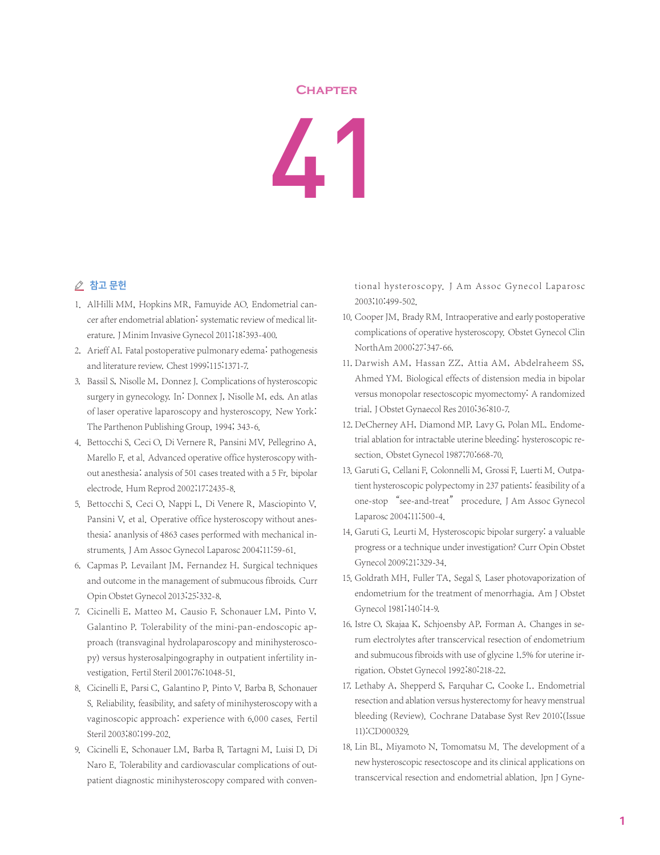## **Chapter**

41

## △ 참고 문헌

- 1. AlHilli MM, Hopkins MR, Famuyide AO. Endometrial cancer after endometrial ablation: systematic review of medical literature.J Minim Invasive Gynecol 2011;18:393-400.
- 2. Arieff AI. Fatal postoperative pulmonary edema: pathogenesis and literature review. Chest 1999;115:1371-7.
- 3. Bassil S, Nisolle M, Donnez J. Complications of hysteroscopic surgery in gynecology. In: Donnex J, Nisolle M, eds. An atlas of laser operative laparoscopy and hysteroscopy. New York: The Parthenon Publishing Group, 1994; 343-6.
- 4. Bettocchi S, Ceci O, Di Vernere R, Pansini MV, Pellegrino A, Marello F, et al. Advanced operative office hysteroscopy without anesthesia: analysis of 501 cases treated with a 5 Fr. bipolar electrode. Hum Reprod 2002;17:2435-8.
- 5. Bettocchi S, Ceci O, Nappi L, Di Venere R, Masciopinto V, Pansini V, et al. Operative office hysteroscopy without anesthesia: ananlysis of 4863 cases performed with mechanical instruments. J Am Assoc Gynecol Laparosc 2004;11:59-61.
- 6. Capmas P, Levailant JM, Fernandez H. Surgical techniques and outcome in the management of submucous fibroids. Curr Opin Obstet Gynecol 2013;25:332-8.
- 7. Cicinelli E, Matteo M, Causio F, Schonauer LM, Pinto V, Galantino P. Tolerability of the mini-pan-endoscopic approach (transvaginal hydrolaparoscopy and minihysteroscopy) versus hysterosalpingography in outpatient infertility investigation. Fertil Steril 2001;76:1048-51.
- 8. Cicinelli E, Parsi C, Galantino P, Pinto V, Barba B, Schonauer S. Reliability, feasibility, and safety of minihysteroscopy with a vaginoscopic approach: experience with 6,000 cases. Fertil Steril 2003;80:199-202.
- 9. Cicinelli E, Schonauer LM, Barba B, Tartagni M, Luisi D, Di Naro E. Tolerability and cardiovascular complications of outpatient diagnostic minihysteroscopy compared with conven-

tional hysteroscopy. J Am Assoc Gynecol Laparosc 2003;10:499-502.

- 10. Cooper JM, Brady RM. Intraoperative and early postoperative complications of operative hysteroscopy. Obstet Gynecol Clin NorthAm 2000;27:347-66.
- 11. Darwish AM, Hassan ZZ, Attia AM, Abdelraheem SS, Ahmed YM. Biological effects of distension media in bipolar versus monopolar resectoscopic myomectomy: A randomized trial.J Obstet Gynaecol Res 2010;36:810-7.
- 12. DeCherney AH, Diamond MP, Lavy G, Polan ML, Endometrial ablation for intractable uterine bleeding: hysteroscopic resection. Obstet Gynecol 1987;70:668-70.
- 13. Garuti G, Cellani F, Colonnelli M, Grossi F, Luerti M. Outpatient hysteroscopic polypectomy in 237 patients: feasibility of a one-stop "see-and-treat" procedure. J Am Assoc Gynecol Laparosc 2004;11:500-4.
- 14. Garuti G, Leurti M. Hysteroscopic bipolar surgery: a valuable progress or a technique under investigation? Curr Opin Obstet Gynecol 2009;21:329-34.
- 15. Goldrath MH, Fuller TA, Segal S. Laser photovaporization of endometrium for the treatment of menorrhagia. Am J Obstet Gynecol 1981;140:14-9.
- 16. Istre O, Skajaa K, Schjoensby AP, Forman A. Changes in serum electrolytes after transcervical resection of endometrium and submucous fibroids with use of glycine 1.5% for uterine irrigation. Obstet Gynecol 1992;80:218-22.
- 17. Lethaby A, Shepperd S, Farquhar C, Cooke I.. Endometrial resection and ablation versus hysterectomy for heavy menstrual bleeding (Review). Cochrane Database Syst Rev 2010;(Issue 11):CD000329.
- 18. Lin BL, Miyamoto N, Tomomatsu M. The development of a new hysteroscopic resectoscope and its clinical applications on transcervical resection and endometrial ablation. Jpn J Gyne-